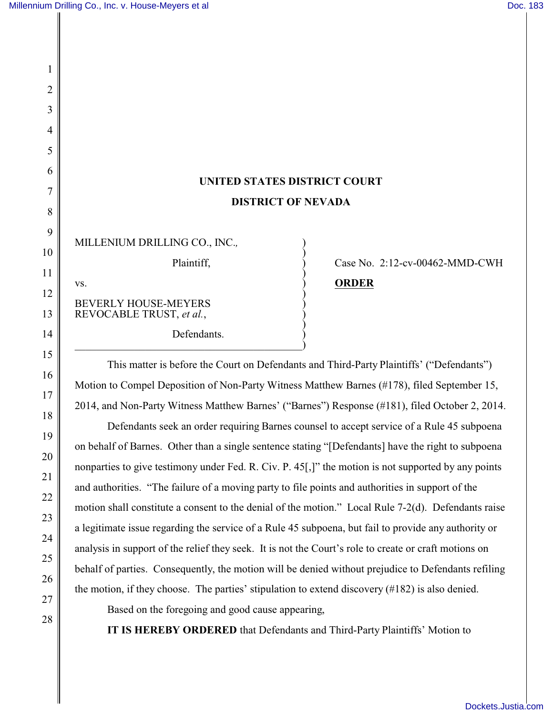1

2

3

4

5

6

7

8

9

10

11

12

13

14

15

16

17

18

19

20

21

22

23

24

25

26

## **UNITED STATES DISTRICT COURT DISTRICT OF NEVADA**

)

| MILLENIUM DRILLING CO., INC.,                           |
|---------------------------------------------------------|
| Plaintiff,                                              |
| VS.                                                     |
| <b>BEVERLY HOUSE-MEYERS</b><br>REVOCABLE TRUST, et al., |

Defendants.  $\hspace{.5cm}$   $\hspace{.5cm}$   $\hspace{.5cm}$   $\hspace{.5cm}$   $\hspace{.5cm}$   $\hspace{.5cm}$   $\hspace{.5cm}$   $\hspace{.5cm}$   $\hspace{.5cm}$   $\hspace{.5cm}$   $\hspace{.5cm}$   $\hspace{.5cm}$   $\hspace{.5cm}$   $\hspace{.5cm}$   $\hspace{.5cm}$   $\hspace{.5cm}$   $\hspace{.5cm}$   $\hspace{.5cm}$   $\hspace{.5cm}$   $\hspace{.5cm}$ 

## Case No.  $2:12$ -cv-00462-MMD-CWH **ORDER**

This matter is before the Court on Defendants and Third-Party Plaintiffs' ("Defendants") Motion to Compel Deposition of Non-Party Witness Matthew Barnes (#178), filed September 15, 2014, and Non-Party Witness Matthew Barnes' ("Barnes") Response (#181), filed October 2, 2014.

Defendants seek an order requiring Barnes counsel to accept service of a Rule 45 subpoena on behalf of Barnes. Other than a single sentence stating "[Defendants] have the right to subpoena nonparties to give testimony under Fed. R. Civ. P. 45<sup>[1]</sup>, the motion is not supported by any points and authorities. "The failure of a moving party to file points and authorities in support of the motion shall constitute a consent to the denial of the motion." Local Rule 7-2(d). Defendants raise a legitimate issue regarding the service of a Rule 45 subpoena, but fail to provide any authority or analysis in support of the relief they seek. It is not the Court's role to create or craft motions on behalf of parties. Consequently, the motion will be denied without prejudice to Defendants refiling the motion, if they choose. The parties' stipulation to extend discovery (#182) is also denied.

27 28

Based on the foregoing and good cause appearing,

**IT IS HEREBY ORDERED** that Defendants and Third-Party Plaintiffs' Motion to